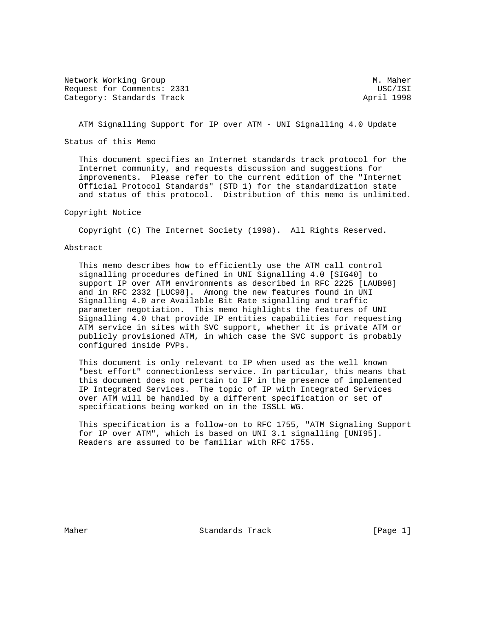Network Working Group Methods and Muslim Methods and Muslim Muslim Muslim Muslim Muslim Muslim Muslim Muslim M Request for Comments: 2331 USC/ISI Category: Standards Track April 1998

ATM Signalling Support for IP over ATM - UNI Signalling 4.0 Update

Status of this Memo

 This document specifies an Internet standards track protocol for the Internet community, and requests discussion and suggestions for improvements. Please refer to the current edition of the "Internet Official Protocol Standards" (STD 1) for the standardization state and status of this protocol. Distribution of this memo is unlimited.

# Copyright Notice

Copyright (C) The Internet Society (1998). All Rights Reserved.

### Abstract

 This memo describes how to efficiently use the ATM call control signalling procedures defined in UNI Signalling 4.0 [SIG40] to support IP over ATM environments as described in RFC 2225 [LAUB98] and in RFC 2332 [LUC98]. Among the new features found in UNI Signalling 4.0 are Available Bit Rate signalling and traffic parameter negotiation. This memo highlights the features of UNI Signalling 4.0 that provide IP entities capabilities for requesting ATM service in sites with SVC support, whether it is private ATM or publicly provisioned ATM, in which case the SVC support is probably configured inside PVPs.

 This document is only relevant to IP when used as the well known "best effort" connectionless service. In particular, this means that this document does not pertain to IP in the presence of implemented IP Integrated Services. The topic of IP with Integrated Services over ATM will be handled by a different specification or set of specifications being worked on in the ISSLL WG.

 This specification is a follow-on to RFC 1755, "ATM Signaling Support for IP over ATM", which is based on UNI 3.1 signalling [UNI95]. Readers are assumed to be familiar with RFC 1755.

Maher **Standards Track** [Page 1]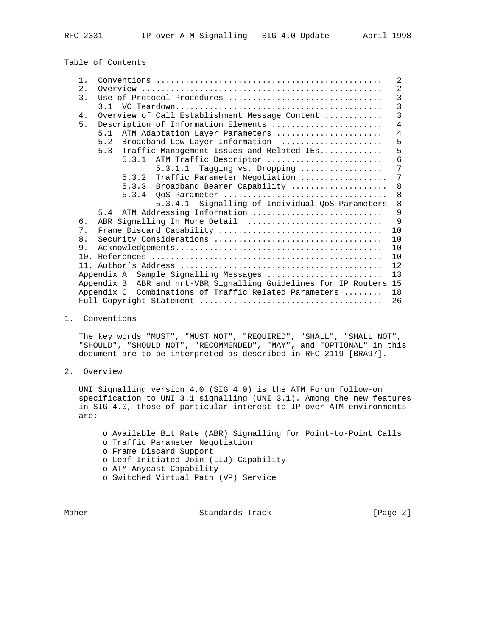Table of Contents

| $1$ . |                                                                       | 2              |
|-------|-----------------------------------------------------------------------|----------------|
| 2.    |                                                                       | $\overline{2}$ |
| 3.    | Use of Protocol Procedures                                            | 3              |
|       |                                                                       | $\overline{3}$ |
| 4.    | Overview of Call Establishment Message Content                        | $\overline{3}$ |
| 5.    | Description of Information Elements                                   | 4              |
|       | ATM Adaptation Layer Parameters<br>5.1                                | $\overline{4}$ |
|       | Broadband Low Layer Information<br>5.2                                | 5              |
|       | 5.3<br>Traffic Management Issues and Related IEs                      | 5              |
|       | 5.3.1 ATM Traffic Descriptor                                          | 6              |
|       | $5.3.1.1$ Tagging vs. Dropping                                        | 7              |
|       | Traffic Parameter Negotiation<br>5.3.2                                | 7              |
|       | 5.3.3<br>Broadband Bearer Capability                                  | 8              |
|       | 5.3.4                                                                 | 8              |
|       | Signalling of Individual QoS Parameters<br>5.3.4.1                    | 8              |
|       | 5.4 ATM Addressing Information                                        | 9              |
| б.    | ABR Signalling In More Detail                                         | $\mathsf{Q}$   |
| 7.    |                                                                       | 10             |
| 8.    |                                                                       | 10             |
| 9.    |                                                                       | 10             |
|       |                                                                       | 10             |
|       |                                                                       | 12             |
|       | Sample Signalling Messages<br>Appendix A                              | 13             |
|       | ABR and nrt-VBR Signalling Guidelines for IP Routers 15<br>Appendix B |                |
|       | Combinations of Traffic Related Parameters<br>Appendix C              | 18             |
|       |                                                                       | 26             |

1. Conventions

 The key words "MUST", "MUST NOT", "REQUIRED", "SHALL", "SHALL NOT", "SHOULD", "SHOULD NOT", "RECOMMENDED", "MAY", and "OPTIONAL" in this document are to be interpreted as described in RFC 2119 [BRA97].

2. Overview

 UNI Signalling version 4.0 (SIG 4.0) is the ATM Forum follow-on specification to UNI 3.1 signalling (UNI 3.1). Among the new features in SIG 4.0, those of particular interest to IP over ATM environments are:

 o Available Bit Rate (ABR) Signalling for Point-to-Point Calls o Traffic Parameter Negotiation o Frame Discard Support o Leaf Initiated Join (LIJ) Capability o ATM Anycast Capability o Switched Virtual Path (VP) Service

Maher Standards Track [Page 2]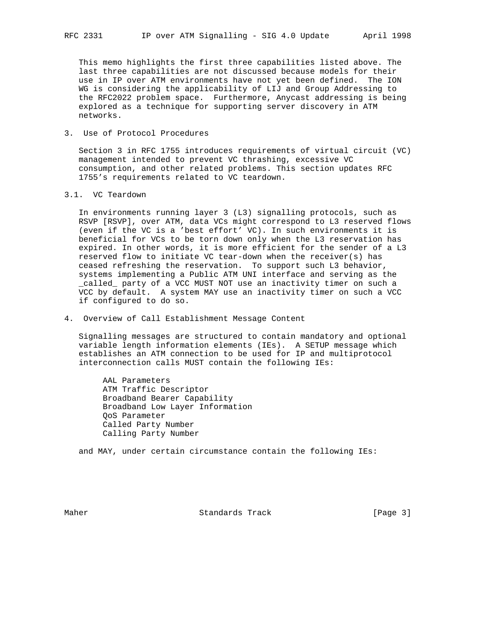This memo highlights the first three capabilities listed above. The last three capabilities are not discussed because models for their use in IP over ATM environments have not yet been defined. The ION WG is considering the applicability of LIJ and Group Addressing to the RFC2022 problem space. Furthermore, Anycast addressing is being explored as a technique for supporting server discovery in ATM networks.

3. Use of Protocol Procedures

 Section 3 in RFC 1755 introduces requirements of virtual circuit (VC) management intended to prevent VC thrashing, excessive VC consumption, and other related problems. This section updates RFC 1755's requirements related to VC teardown.

3.1. VC Teardown

 In environments running layer 3 (L3) signalling protocols, such as RSVP [RSVP], over ATM, data VCs might correspond to L3 reserved flows (even if the VC is a 'best effort' VC). In such environments it is beneficial for VCs to be torn down only when the L3 reservation has expired. In other words, it is more efficient for the sender of a L3 reserved flow to initiate VC tear-down when the receiver(s) has ceased refreshing the reservation. To support such L3 behavior, systems implementing a Public ATM UNI interface and serving as the \_called\_ party of a VCC MUST NOT use an inactivity timer on such a VCC by default. A system MAY use an inactivity timer on such a VCC if configured to do so.

4. Overview of Call Establishment Message Content

 Signalling messages are structured to contain mandatory and optional variable length information elements (IEs). A SETUP message which establishes an ATM connection to be used for IP and multiprotocol interconnection calls MUST contain the following IEs:

 AAL Parameters ATM Traffic Descriptor Broadband Bearer Capability Broadband Low Layer Information QoS Parameter Called Party Number Calling Party Number

and MAY, under certain circumstance contain the following IEs:

Maher **Standards Track** [Page 3]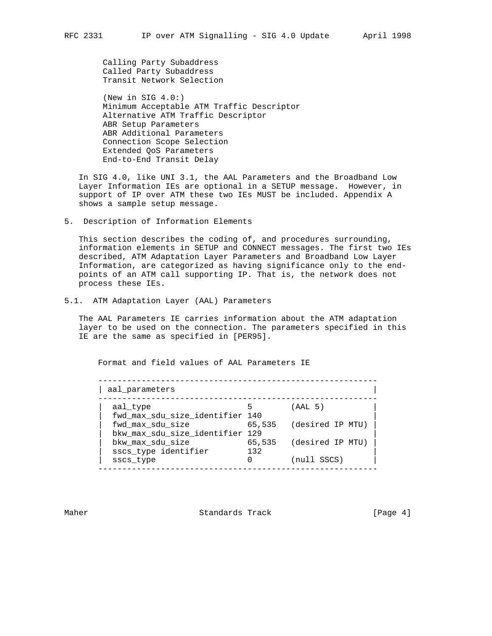Calling Party Subaddress Called Party Subaddress Transit Network Selection

 (New in SIG 4.0:) Minimum Acceptable ATM Traffic Descriptor Alternative ATM Traffic Descriptor ABR Setup Parameters ABR Additional Parameters Connection Scope Selection Extended QoS Parameters End-to-End Transit Delay

 In SIG 4.0, like UNI 3.1, the AAL Parameters and the Broadband Low Layer Information IEs are optional in a SETUP message. However, in support of IP over ATM these two IEs MUST be included. Appendix A shows a sample setup message.

5. Description of Information Elements

 This section describes the coding of, and procedures surrounding, information elements in SETUP and CONNECT messages. The first two IEs described, ATM Adaptation Layer Parameters and Broadband Low Layer Information, are categorized as having significance only to the end points of an ATM call supporting IP. That is, the network does not process these IEs.

5.1. ATM Adaptation Layer (AAL) Parameters

 The AAL Parameters IE carries information about the ATM adaptation layer to be used on the connection. The parameters specified in this IE are the same as specified in [PER95].

Format and field values of AAL Parameters IE

| aal parameters                                      |               |                  |
|-----------------------------------------------------|---------------|------------------|
| aal type<br>fwd max sdu size identifier 140         |               | (AAL 5)          |
| fwd max sdu size<br>bkw max sdu size identifier 129 | 65,535        | (desired IP MTU) |
| bkw max sdu size<br>sscs_type identifier            | 65,535<br>132 | (desired IP MTU) |
| sscs type                                           |               | (null SSCS)      |

Maher **Standards Track** [Page 4]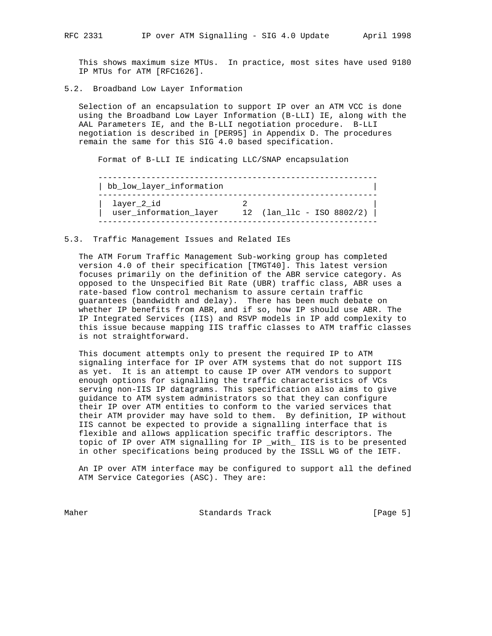This shows maximum size MTUs. In practice, most sites have used 9180 IP MTUs for ATM [RFC1626].

5.2. Broadband Low Layer Information

 Selection of an encapsulation to support IP over an ATM VCC is done using the Broadband Low Layer Information (B-LLI) IE, along with the AAL Parameters IE, and the B-LLI negotiation procedure. B-LLI negotiation is described in [PER95] in Appendix D. The procedures remain the same for this SIG 4.0 based specification.

Format of B-LLI IE indicating LLC/SNAP encapsulation

| bb low layer information             |                            |  |
|--------------------------------------|----------------------------|--|
| layer_2_id<br>user_information_layer | 12 $(lan_l)c - ISO 802/2)$ |  |

#### 5.3. Traffic Management Issues and Related IEs

 The ATM Forum Traffic Management Sub-working group has completed version 4.0 of their specification [TMGT40]. This latest version focuses primarily on the definition of the ABR service category. As opposed to the Unspecified Bit Rate (UBR) traffic class, ABR uses a rate-based flow control mechanism to assure certain traffic guarantees (bandwidth and delay). There has been much debate on whether IP benefits from ABR, and if so, how IP should use ABR. The IP Integrated Services (IIS) and RSVP models in IP add complexity to this issue because mapping IIS traffic classes to ATM traffic classes is not straightforward.

 This document attempts only to present the required IP to ATM signaling interface for IP over ATM systems that do not support IIS as yet. It is an attempt to cause IP over ATM vendors to support enough options for signalling the traffic characteristics of VCs serving non-IIS IP datagrams. This specification also aims to give guidance to ATM system administrators so that they can configure their IP over ATM entities to conform to the varied services that their ATM provider may have sold to them. By definition, IP without IIS cannot be expected to provide a signalling interface that is flexible and allows application specific traffic descriptors. The topic of IP over ATM signalling for IP \_with\_ IIS is to be presented in other specifications being produced by the ISSLL WG of the IETF.

 An IP over ATM interface may be configured to support all the defined ATM Service Categories (ASC). They are:

Maher **Standards Track** [Page 5]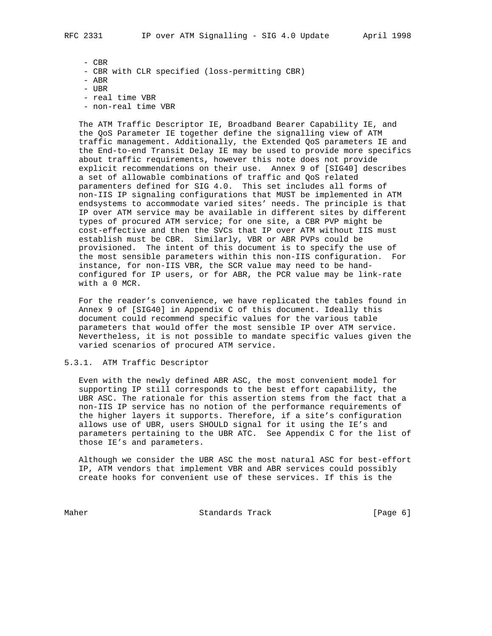- CBR

- CBR with CLR specified (loss-permitting CBR)

 $-$  ABR

- UBR
- real time VBR
- non-real time VBR

 The ATM Traffic Descriptor IE, Broadband Bearer Capability IE, and the QoS Parameter IE together define the signalling view of ATM traffic management. Additionally, the Extended QoS parameters IE and the End-to-end Transit Delay IE may be used to provide more specifics about traffic requirements, however this note does not provide explicit recommendations on their use. Annex 9 of [SIG40] describes a set of allowable combinations of traffic and QoS related paramenters defined for SIG 4.0. This set includes all forms of non-IIS IP signaling configurations that MUST be implemented in ATM endsystems to accommodate varied sites' needs. The principle is that IP over ATM service may be available in different sites by different types of procured ATM service; for one site, a CBR PVP might be cost-effective and then the SVCs that IP over ATM without IIS must establish must be CBR. Similarly, VBR or ABR PVPs could be provisioned. The intent of this document is to specify the use of the most sensible parameters within this non-IIS configuration. For instance, for non-IIS VBR, the SCR value may need to be hand configured for IP users, or for ABR, the PCR value may be link-rate with a 0 MCR.

 For the reader's convenience, we have replicated the tables found in Annex 9 of [SIG40] in Appendix C of this document. Ideally this document could recommend specific values for the various table parameters that would offer the most sensible IP over ATM service. Nevertheless, it is not possible to mandate specific values given the varied scenarios of procured ATM service.

## 5.3.1. ATM Traffic Descriptor

 Even with the newly defined ABR ASC, the most convenient model for supporting IP still corresponds to the best effort capability, the UBR ASC. The rationale for this assertion stems from the fact that a non-IIS IP service has no notion of the performance requirements of the higher layers it supports. Therefore, if a site's configuration allows use of UBR, users SHOULD signal for it using the IE's and parameters pertaining to the UBR ATC. See Appendix C for the list of those IE's and parameters.

 Although we consider the UBR ASC the most natural ASC for best-effort IP, ATM vendors that implement VBR and ABR services could possibly create hooks for convenient use of these services. If this is the

Maher Standards Track (Page 6)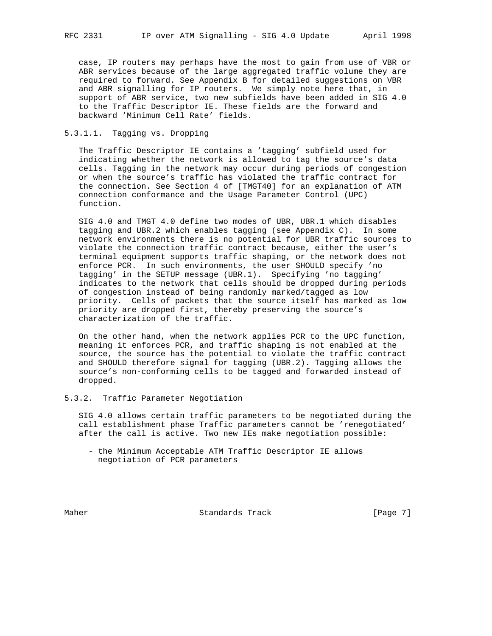case, IP routers may perhaps have the most to gain from use of VBR or ABR services because of the large aggregated traffic volume they are required to forward. See Appendix B for detailed suggestions on VBR and ABR signalling for IP routers. We simply note here that, in support of ABR service, two new subfields have been added in SIG 4.0 to the Traffic Descriptor IE. These fields are the forward and backward 'Minimum Cell Rate' fields.

# 5.3.1.1. Tagging vs. Dropping

 The Traffic Descriptor IE contains a 'tagging' subfield used for indicating whether the network is allowed to tag the source's data cells. Tagging in the network may occur during periods of congestion or when the source's traffic has violated the traffic contract for the connection. See Section 4 of [TMGT40] for an explanation of ATM connection conformance and the Usage Parameter Control (UPC) function.

 SIG 4.0 and TMGT 4.0 define two modes of UBR, UBR.1 which disables tagging and UBR.2 which enables tagging (see Appendix C). In some network environments there is no potential for UBR traffic sources to violate the connection traffic contract because, either the user's terminal equipment supports traffic shaping, or the network does not enforce PCR. In such environments, the user SHOULD specify 'no tagging' in the SETUP message (UBR.1). Specifying 'no tagging' indicates to the network that cells should be dropped during periods of congestion instead of being randomly marked/tagged as low priority. Cells of packets that the source itself has marked as low priority are dropped first, thereby preserving the source's characterization of the traffic.

 On the other hand, when the network applies PCR to the UPC function, meaning it enforces PCR, and traffic shaping is not enabled at the source, the source has the potential to violate the traffic contract and SHOULD therefore signal for tagging (UBR.2). Tagging allows the source's non-conforming cells to be tagged and forwarded instead of dropped.

5.3.2. Traffic Parameter Negotiation

 SIG 4.0 allows certain traffic parameters to be negotiated during the call establishment phase Traffic parameters cannot be 'renegotiated' after the call is active. Two new IEs make negotiation possible:

 - the Minimum Acceptable ATM Traffic Descriptor IE allows negotiation of PCR parameters

Maher **Standards Track** [Page 7]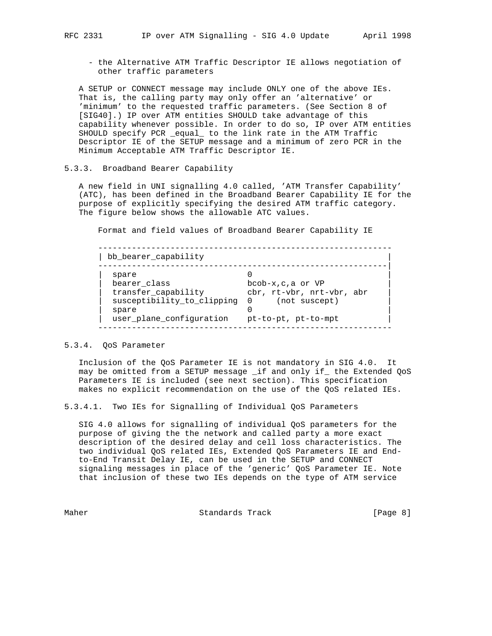- the Alternative ATM Traffic Descriptor IE allows negotiation of other traffic parameters

 A SETUP or CONNECT message may include ONLY one of the above IEs. That is, the calling party may only offer an 'alternative' or 'minimum' to the requested traffic parameters. (See Section 8 of [SIG40].) IP over ATM entities SHOULD take advantage of this capability whenever possible. In order to do so, IP over ATM entities SHOULD specify PCR \_equal\_ to the link rate in the ATM Traffic Descriptor IE of the SETUP message and a minimum of zero PCR in the Minimum Acceptable ATM Traffic Descriptor IE.

# 5.3.3. Broadband Bearer Capability

 A new field in UNI signalling 4.0 called, 'ATM Transfer Capability' (ATC), has been defined in the Broadband Bearer Capability IE for the purpose of explicitly specifying the desired ATM traffic category. The figure below shows the allowable ATC values.

Format and field values of Broadband Bearer Capability IE

 ------------------------------------------------------------- | bb\_bearer\_capability | ------------------------------------------------------------| | spare 0 | | bearer\_class bcob-x,c,a or VP | | | transfer\_capability cbr, rt-vbr, nrt-vbr, abr | | susceptibility\_to\_clipping 0 (not suscept) | | spare 0 | | user\_plane\_configuration pt-to-pt, pt-to-mpt | -------------------------------------------------------------

### 5.3.4. QoS Parameter

 Inclusion of the QoS Parameter IE is not mandatory in SIG 4.0. It may be omitted from a SETUP message \_if and only if\_ the Extended QoS Parameters IE is included (see next section). This specification makes no explicit recommendation on the use of the QoS related IEs.

5.3.4.1. Two IEs for Signalling of Individual QoS Parameters

 SIG 4.0 allows for signalling of individual QoS parameters for the purpose of giving the the network and called party a more exact description of the desired delay and cell loss characteristics. The two individual QoS related IEs, Extended QoS Parameters IE and End to-End Transit Delay IE, can be used in the SETUP and CONNECT signaling messages in place of the 'generic' QoS Parameter IE. Note that inclusion of these two IEs depends on the type of ATM service

Maher **Standards Track** [Page 8]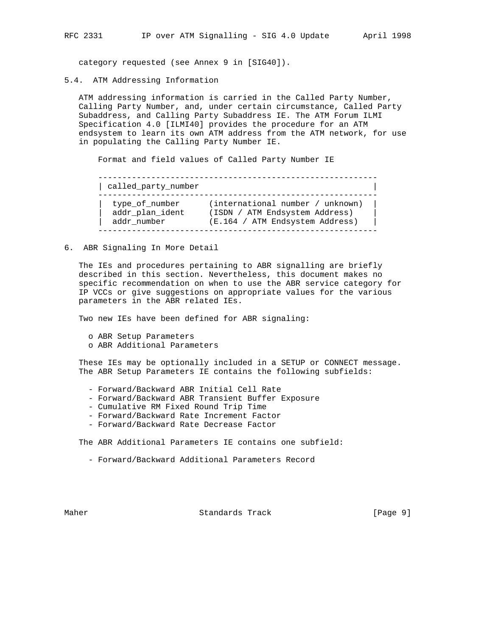category requested (see Annex 9 in [SIG40]).

5.4. ATM Addressing Information

 ATM addressing information is carried in the Called Party Number, Calling Party Number, and, under certain circumstance, Called Party Subaddress, and Calling Party Subaddress IE. The ATM Forum ILMI Specification 4.0 [ILMI40] provides the procedure for an ATM endsystem to learn its own ATM address from the ATM network, for use in populating the Calling Party Number IE.

Format and field values of Called Party Number IE

| called party number |                                  |
|---------------------|----------------------------------|
| type of number      | (international number / unknown) |
| addr plan ident     | (ISDN / ATM Endsystem Address)   |
| addr number         | (E.164 / ATM Endsystem Address)  |

6. ABR Signaling In More Detail

 The IEs and procedures pertaining to ABR signalling are briefly described in this section. Nevertheless, this document makes no specific recommendation on when to use the ABR service category for IP VCCs or give suggestions on appropriate values for the various parameters in the ABR related IEs.

Two new IEs have been defined for ABR signaling:

- o ABR Setup Parameters
- o ABR Additional Parameters

 These IEs may be optionally included in a SETUP or CONNECT message. The ABR Setup Parameters IE contains the following subfields:

- Forward/Backward ABR Initial Cell Rate
- Forward/Backward ABR Transient Buffer Exposure
- Cumulative RM Fixed Round Trip Time
- Forward/Backward Rate Increment Factor
- Forward/Backward Rate Decrease Factor

The ABR Additional Parameters IE contains one subfield:

- Forward/Backward Additional Parameters Record

Maher **Standards Track** [Page 9]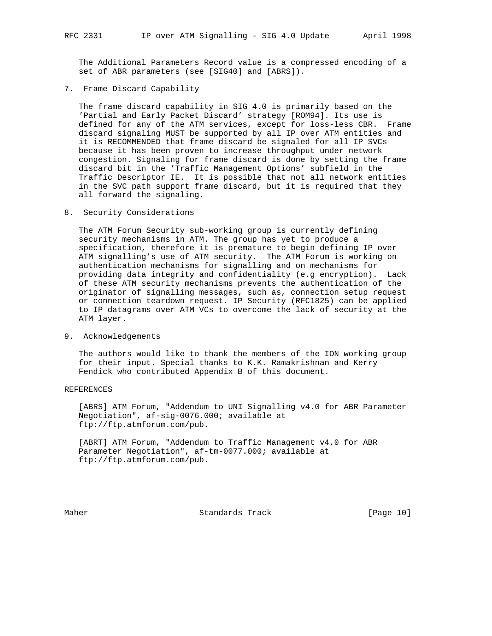The Additional Parameters Record value is a compressed encoding of a set of ABR parameters (see [SIG40] and [ABRS]).

7. Frame Discard Capability

 The frame discard capability in SIG 4.0 is primarily based on the 'Partial and Early Packet Discard' strategy [ROM94]. Its use is defined for any of the ATM services, except for loss-less CBR. Frame discard signaling MUST be supported by all IP over ATM entities and it is RECOMMENDED that frame discard be signaled for all IP SVCs because it has been proven to increase throughput under network congestion. Signaling for frame discard is done by setting the frame discard bit in the 'Traffic Management Options' subfield in the Traffic Descriptor IE. It is possible that not all network entities in the SVC path support frame discard, but it is required that they all forward the signaling.

8. Security Considerations

 The ATM Forum Security sub-working group is currently defining security mechanisms in ATM. The group has yet to produce a specification, therefore it is premature to begin defining IP over ATM signalling's use of ATM security. The ATM Forum is working on authentication mechanisms for signalling and on mechanisms for providing data integrity and confidentiality (e.g encryption). Lack of these ATM security mechanisms prevents the authentication of the originator of signalling messages, such as, connection setup request or connection teardown request. IP Security (RFC1825) can be applied to IP datagrams over ATM VCs to overcome the lack of security at the ATM layer.

9. Acknowledgements

 The authors would like to thank the members of the ION working group for their input. Special thanks to K.K. Ramakrishnan and Kerry Fendick who contributed Appendix B of this document.

# REFERENCES

 [ABRS] ATM Forum, "Addendum to UNI Signalling v4.0 for ABR Parameter Negotiation", af-sig-0076.000; available at ftp://ftp.atmforum.com/pub.

 [ABRT] ATM Forum, "Addendum to Traffic Management v4.0 for ABR Parameter Negotiation", af-tm-0077.000; available at ftp://ftp.atmforum.com/pub.

Maher Standards Track [Page 10]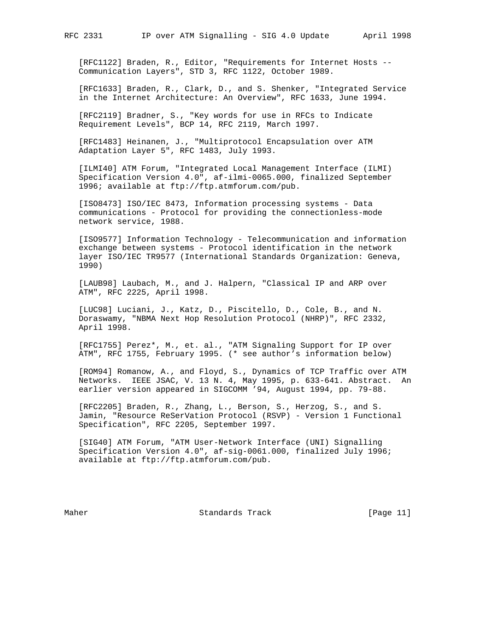[RFC1122] Braden, R., Editor, "Requirements for Internet Hosts -- Communication Layers", STD 3, RFC 1122, October 1989.

 [RFC1633] Braden, R., Clark, D., and S. Shenker, "Integrated Service in the Internet Architecture: An Overview", RFC 1633, June 1994.

 [RFC2119] Bradner, S., "Key words for use in RFCs to Indicate Requirement Levels", BCP 14, RFC 2119, March 1997.

 [RFC1483] Heinanen, J., "Multiprotocol Encapsulation over ATM Adaptation Layer 5", RFC 1483, July 1993.

 [ILMI40] ATM Forum, "Integrated Local Management Interface (ILMI) Specification Version 4.0", af-ilmi-0065.000, finalized September 1996; available at ftp://ftp.atmforum.com/pub.

 [ISO8473] ISO/IEC 8473, Information processing systems - Data communications - Protocol for providing the connectionless-mode network service, 1988.

 [ISO9577] Information Technology - Telecommunication and information exchange between systems - Protocol identification in the network layer ISO/IEC TR9577 (International Standards Organization: Geneva, 1990)

 [LAUB98] Laubach, M., and J. Halpern, "Classical IP and ARP over ATM", RFC 2225, April 1998.

 [LUC98] Luciani, J., Katz, D., Piscitello, D., Cole, B., and N. Doraswamy, "NBMA Next Hop Resolution Protocol (NHRP)", RFC 2332, April 1998.

 [RFC1755] Perez\*, M., et. al., "ATM Signaling Support for IP over ATM", RFC 1755, February 1995. (\* see author's information below)

 [ROM94] Romanow, A., and Floyd, S., Dynamics of TCP Traffic over ATM Networks. IEEE JSAC, V. 13 N. 4, May 1995, p. 633-641. Abstract. An earlier version appeared in SIGCOMM '94, August 1994, pp. 79-88.

 [RFC2205] Braden, R., Zhang, L., Berson, S., Herzog, S., and S. Jamin, "Resource ReSerVation Protocol (RSVP) - Version 1 Functional Specification", RFC 2205, September 1997.

 [SIG40] ATM Forum, "ATM User-Network Interface (UNI) Signalling Specification Version 4.0", af-sig-0061.000, finalized July 1996; available at ftp://ftp.atmforum.com/pub.

Maher **Standards Track** [Page 11]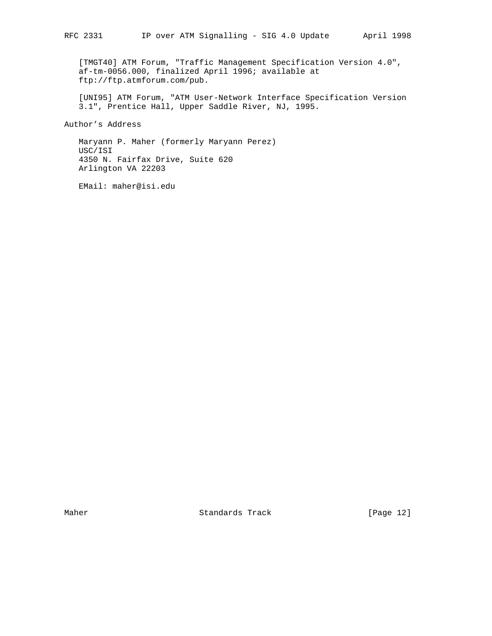[TMGT40] ATM Forum, "Traffic Management Specification Version 4.0", af-tm-0056.000, finalized April 1996; available at ftp://ftp.atmforum.com/pub.

 [UNI95] ATM Forum, "ATM User-Network Interface Specification Version 3.1", Prentice Hall, Upper Saddle River, NJ, 1995.

Author's Address

 Maryann P. Maher (formerly Maryann Perez) USC/ISI 4350 N. Fairfax Drive, Suite 620 Arlington VA 22203

EMail: maher@isi.edu

Maher Standards Track [Page 12]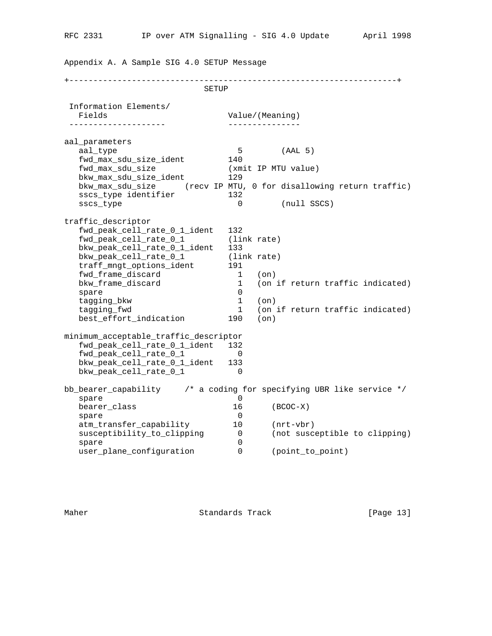Appendix A. A Sample SIG 4.0 SETUP Message

+--------------------------------------------------------------------+ SETUP Information Elements/ Fields **Value**/(Meaning) -------------------- -------------- aal\_parameters aal\_type 5 (AAL 5) fwd\_max\_sdu\_size\_ident 140 fwd\_max\_sdu\_size (xmit IP MTU value) bkw\_max\_sdu\_size\_ident 129 bkw\_max\_sdu\_size (recv IP MTU, 0 for disallowing return traffic) sscs\_type identifier 132 sscs\_type 0 (null SSCS) traffic\_descriptor fwd\_peak\_cell\_rate\_0\_1\_ident 132 fwd\_peak\_cell\_rate\_0\_1 (link rate)<br>bkw\_peak\_cell\_rate\_0\_1\_ident 133 bkw\_peak\_cell\_rate\_0\_1\_ident 133 bkw\_peak\_cell\_rate\_0\_1 (link rate) traff\_mngt\_options\_ident 191 fwd\_frame\_discard 1 (on) bkw\_frame\_discard 1 (on if return traffic indicated) spare 0 tagging\_bkw 1 (on) tagging\_bkw<br>
tagging\_fwd 1 (on if return traffic indicated)<br>
1 (on if return traffic indicated)<br>
1 (on) best\_effort\_indication 190 (on) minimum\_acceptable\_traffic\_descriptor fwd\_peak\_cell\_rate\_0\_1\_ident 132 fwd\_peak\_cell\_rate\_0\_1 0 bkw\_peak\_cell\_rate\_0\_1\_ident 133 bkw\_peak\_cell\_rate\_0\_1 0 bb\_bearer\_capability /\* a coding for specifying UBR like service \*/ spare 0<br>bearer\_class 0<br>16 bearer\_class 16 (BCOC-X)<br>spare 0 spare 0 atm\_transfer\_capability 10 (nrt-vbr) susceptibility\_to\_clipping 0 (not susceptible to clipping) spare 0 user\_plane\_configuration 0 (point\_to\_point)

Maher **Standards Track** [Page 13]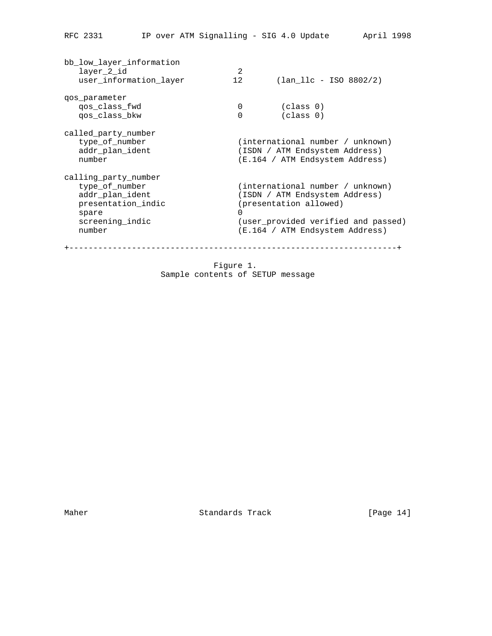| bb low layer information<br>layer 2 id<br>user_information_layer                                                      | 2<br>12       | $(lan 11c - ISO 8802/2)$                                                                                                                                               |
|-----------------------------------------------------------------------------------------------------------------------|---------------|------------------------------------------------------------------------------------------------------------------------------------------------------------------------|
| gos parameter<br>qos class fwd<br>gos class bkw                                                                       | 0<br>$\Omega$ | (class 0)<br>(class 0)                                                                                                                                                 |
| called party number<br>type of number<br>addr plan ident<br>number                                                    |               | (international number / unknown)<br>(ISDN / ATM Endsystem Address)<br>(E.164 / ATM Endsystem Address)                                                                  |
| calling party number<br>type of number<br>addr_plan_ident<br>presentation_indic<br>spare<br>screening indic<br>number | $\Omega$      | (international number / unknown)<br>(ISDN / ATM Endsystem Address)<br>(presentation allowed)<br>(user_provided verified and passed)<br>(E.164 / ATM Endsystem Address) |
|                                                                                                                       | ------------- |                                                                                                                                                                        |

 Figure 1. Sample contents of SETUP message

Maher Standards Track [Page 14]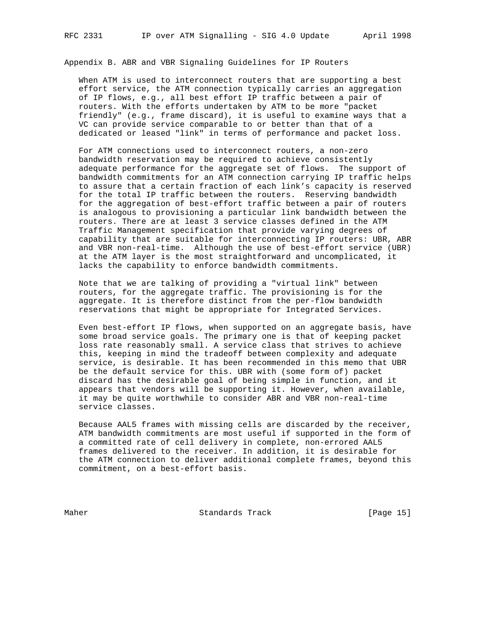Appendix B. ABR and VBR Signaling Guidelines for IP Routers

 When ATM is used to interconnect routers that are supporting a best effort service, the ATM connection typically carries an aggregation of IP flows, e.g., all best effort IP traffic between a pair of routers. With the efforts undertaken by ATM to be more "packet friendly" (e.g., frame discard), it is useful to examine ways that a VC can provide service comparable to or better than that of a dedicated or leased "link" in terms of performance and packet loss.

 For ATM connections used to interconnect routers, a non-zero bandwidth reservation may be required to achieve consistently adequate performance for the aggregate set of flows. The support of bandwidth commitments for an ATM connection carrying IP traffic helps to assure that a certain fraction of each link's capacity is reserved for the total IP traffic between the routers. Reserving bandwidth for the aggregation of best-effort traffic between a pair of routers is analogous to provisioning a particular link bandwidth between the routers. There are at least 3 service classes defined in the ATM Traffic Management specification that provide varying degrees of capability that are suitable for interconnecting IP routers: UBR, ABR and VBR non-real-time. Although the use of best-effort service (UBR) at the ATM layer is the most straightforward and uncomplicated, it lacks the capability to enforce bandwidth commitments.

 Note that we are talking of providing a "virtual link" between routers, for the aggregate traffic. The provisioning is for the aggregate. It is therefore distinct from the per-flow bandwidth reservations that might be appropriate for Integrated Services.

 Even best-effort IP flows, when supported on an aggregate basis, have some broad service goals. The primary one is that of keeping packet loss rate reasonably small. A service class that strives to achieve this, keeping in mind the tradeoff between complexity and adequate service, is desirable. It has been recommended in this memo that UBR be the default service for this. UBR with (some form of) packet discard has the desirable goal of being simple in function, and it appears that vendors will be supporting it. However, when available, it may be quite worthwhile to consider ABR and VBR non-real-time service classes.

 Because AAL5 frames with missing cells are discarded by the receiver, ATM bandwidth commitments are most useful if supported in the form of a committed rate of cell delivery in complete, non-errored AAL5 frames delivered to the receiver. In addition, it is desirable for the ATM connection to deliver additional complete frames, beyond this commitment, on a best-effort basis.

Maher Standards Track [Page 15]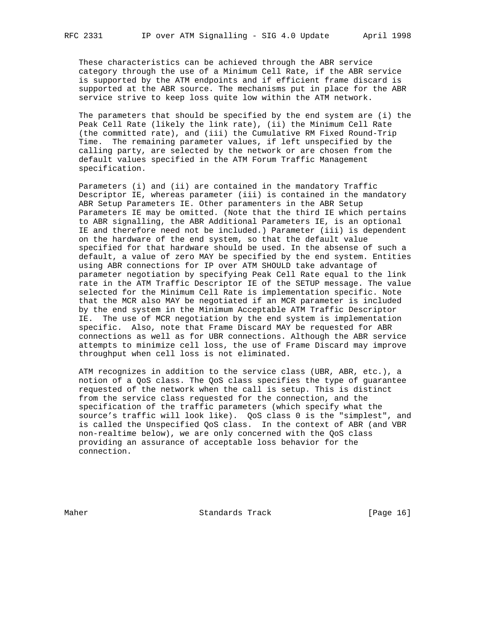These characteristics can be achieved through the ABR service category through the use of a Minimum Cell Rate, if the ABR service is supported by the ATM endpoints and if efficient frame discard is supported at the ABR source. The mechanisms put in place for the ABR service strive to keep loss quite low within the ATM network.

 The parameters that should be specified by the end system are (i) the Peak Cell Rate (likely the link rate), (ii) the Minimum Cell Rate (the committed rate), and (iii) the Cumulative RM Fixed Round-Trip Time. The remaining parameter values, if left unspecified by the calling party, are selected by the network or are chosen from the default values specified in the ATM Forum Traffic Management specification.

 Parameters (i) and (ii) are contained in the mandatory Traffic Descriptor IE, whereas parameter (iii) is contained in the mandatory ABR Setup Parameters IE. Other paramenters in the ABR Setup Parameters IE may be omitted. (Note that the third IE which pertains to ABR signalling, the ABR Additional Parameters IE, is an optional IE and therefore need not be included.) Parameter (iii) is dependent on the hardware of the end system, so that the default value specified for that hardware should be used. In the absense of such a default, a value of zero MAY be specified by the end system. Entities using ABR connections for IP over ATM SHOULD take advantage of parameter negotiation by specifying Peak Cell Rate equal to the link rate in the ATM Traffic Descriptor IE of the SETUP message. The value selected for the Minimum Cell Rate is implementation specific. Note that the MCR also MAY be negotiated if an MCR parameter is included by the end system in the Minimum Acceptable ATM Traffic Descriptor IE. The use of MCR negotiation by the end system is implementation specific. Also, note that Frame Discard MAY be requested for ABR connections as well as for UBR connections. Although the ABR service attempts to minimize cell loss, the use of Frame Discard may improve throughput when cell loss is not eliminated.

 ATM recognizes in addition to the service class (UBR, ABR, etc.), a notion of a QoS class. The QoS class specifies the type of guarantee requested of the network when the call is setup. This is distinct from the service class requested for the connection, and the specification of the traffic parameters (which specify what the source's traffic will look like). QoS class 0 is the "simplest", and is called the Unspecified QoS class. In the context of ABR (and VBR non-realtime below), we are only concerned with the QoS class providing an assurance of acceptable loss behavior for the connection.

Maher Standards Track [Page 16]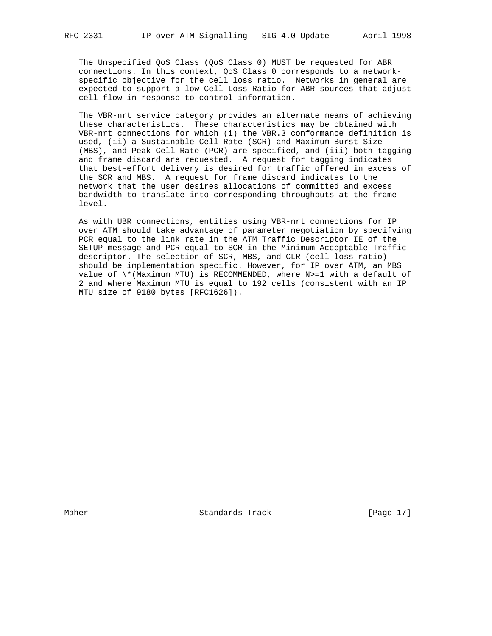The Unspecified QoS Class (QoS Class 0) MUST be requested for ABR connections. In this context, QoS Class 0 corresponds to a network specific objective for the cell loss ratio. Networks in general are expected to support a low Cell Loss Ratio for ABR sources that adjust cell flow in response to control information.

 The VBR-nrt service category provides an alternate means of achieving these characteristics. These characteristics may be obtained with VBR-nrt connections for which (i) the VBR.3 conformance definition is used, (ii) a Sustainable Cell Rate (SCR) and Maximum Burst Size (MBS), and Peak Cell Rate (PCR) are specified, and (iii) both tagging and frame discard are requested. A request for tagging indicates that best-effort delivery is desired for traffic offered in excess of the SCR and MBS. A request for frame discard indicates to the network that the user desires allocations of committed and excess bandwidth to translate into corresponding throughputs at the frame level.

 As with UBR connections, entities using VBR-nrt connections for IP over ATM should take advantage of parameter negotiation by specifying PCR equal to the link rate in the ATM Traffic Descriptor IE of the SETUP message and PCR equal to SCR in the Minimum Acceptable Traffic descriptor. The selection of SCR, MBS, and CLR (cell loss ratio) should be implementation specific. However, for IP over ATM, an MBS value of N\*(Maximum MTU) is RECOMMENDED, where N>=1 with a default of 2 and where Maximum MTU is equal to 192 cells (consistent with an IP MTU size of 9180 bytes [RFC1626]).

Maher Standards Track [Page 17]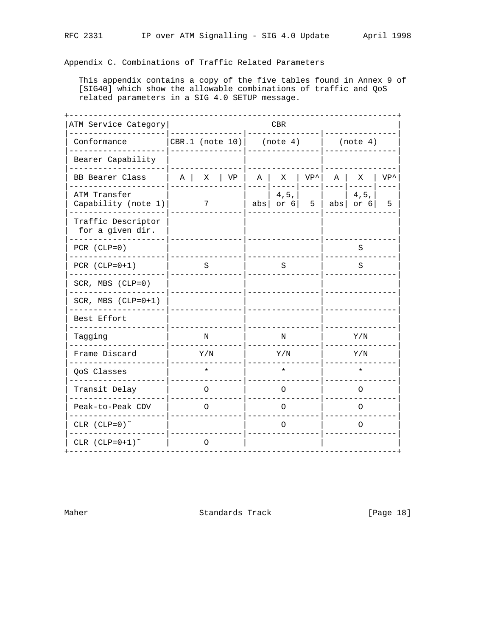Appendix C. Combinations of Traffic Related Parameters

This appendix contains a copy of the five tables found in Annex 9 of [SIG40] which show the allowable combinations of traffic and QoS related parameters in a SIG 4.0 SETUP message.

| ATM Service Category                   |                    |         |        |   | CBR                               |               |             |                           |               |
|----------------------------------------|--------------------|---------|--------|---|-----------------------------------|---------------|-------------|---------------------------|---------------|
| Conformance                            | CBR.1 (note $10$ ) |         |        |   | (note 4)                          |               |             | (note 4)                  |               |
| Bearer Capability                      |                    |         |        |   |                                   |               |             |                           |               |
| BB Bearer Class                        | $A \mid$           | X       | $ $ VP | A | X                                 | $VP^{\wedge}$ | $\mathbb A$ | X                         | $VP^{\wedge}$ |
| ATM Transfer<br>Capability (note 1)    |                    | 7       |        |   | 4, 5,<br>abs $\vert$ or 6 $\vert$ | 5             |             | 4, 5,<br>abs $\vert$ or 6 | 5             |
| Traffic Descriptor<br>for a given dir. |                    |         |        |   |                                   |               |             |                           |               |
| $PCR (CLP=0)$                          |                    |         |        |   |                                   |               |             | S                         |               |
| PCR $(CLP=0+1)$                        |                    | S       |        |   | S                                 |               |             | S                         |               |
| SCR, MBS (CLP=0)                       |                    |         |        |   |                                   |               |             |                           |               |
| SCR, MBS $(CLP=0+1)$                   |                    |         |        |   |                                   |               |             |                           |               |
| Best Effort                            |                    |         |        |   |                                   |               |             |                           |               |
| Tagging                                |                    | N       |        |   | N                                 |               |             | Y/N                       |               |
| Frame Discard                          |                    | Y/N     |        |   | Y/N                               |               |             | Y/N                       |               |
| QoS Classes                            |                    | $\star$ |        |   | $\star$                           |               |             | $\star$                   |               |
| Transit Delay                          |                    | O       |        |   | $\Omega$                          |               |             | O                         |               |
| Peak-to-Peak CDV                       |                    | O       |        |   | 0                                 |               |             | 0                         |               |
| CLR $(CLP=0)^{\sim}$                   |                    |         |        |   | O                                 |               |             | O                         |               |
| CLR $(CLP=0+1)^{\sim}$                 |                    | $\circ$ |        |   |                                   |               |             |                           |               |

Maher

Standards Track

[Page 18]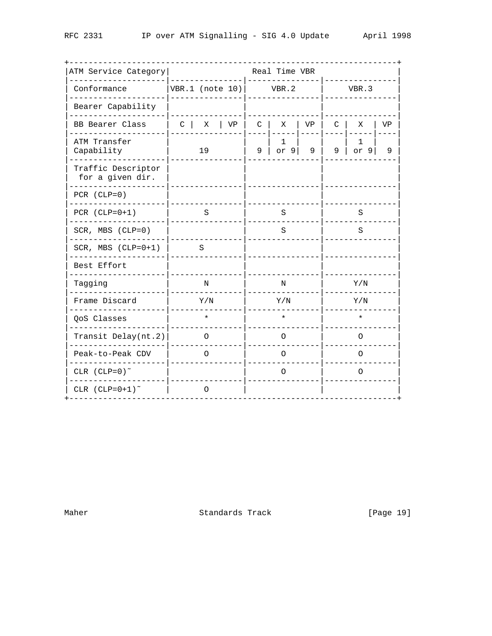| ATM Service Category                   |                      |          |    |              | Real Time VBR |    |              |           |    |  |
|----------------------------------------|----------------------|----------|----|--------------|---------------|----|--------------|-----------|----|--|
| Conformance                            | $VBR.1$ (note $10$ ) |          |    |              | VBR.2         |    | VBR.3        |           |    |  |
| Bearer Capability                      |                      |          |    |              |               |    |              |           |    |  |
| BB Bearer Class                        | $C \mid$             | Χ        | VP | $\mathsf{C}$ | X             | VP | $\mathsf{C}$ | Χ         | VP |  |
| ATM Transfer<br>Capability             |                      | 19       |    | 9            | 1<br>or $9$   | 9  | 9            | 1<br>or 9 | 9  |  |
| Traffic Descriptor<br>for a given dir. |                      |          |    |              |               |    |              |           |    |  |
| PCR $(CLP=0)$                          |                      |          |    |              |               |    |              |           |    |  |
| PCR $(CLP=0+1)$                        |                      | S        |    |              | S             |    |              | S         |    |  |
| SCR, MBS (CLP=0)                       |                      |          |    |              | S             |    |              | S         |    |  |
| SCR, MBS $(CLP=0+1)$                   |                      | S        |    |              |               |    |              |           |    |  |
| Best Effort                            |                      |          |    |              |               |    |              |           |    |  |
| Tagging                                |                      | N        |    |              | N             |    |              | Y/N       |    |  |
| Frame Discard                          |                      | Y/N      |    |              | Y/N           |    |              | Y/N       |    |  |
| QoS Classes                            |                      | $\star$  |    |              | $\star$       |    |              | $\star$   |    |  |
| Transit Delay(nt.2)                    |                      | $\Omega$ |    |              | O             |    |              | $\Omega$  |    |  |
| Peak-to-Peak CDV                       |                      | O        |    |              | O             |    |              | O         |    |  |
| CLR $(CLP=0)^{\sim}$                   |                      |          |    |              | O             |    |              | $\Omega$  |    |  |
| CLR $(CLP=0+1)^{\sim}$                 |                      | O        |    |              |               |    |              |           |    |  |

Standards Track

[Page 19]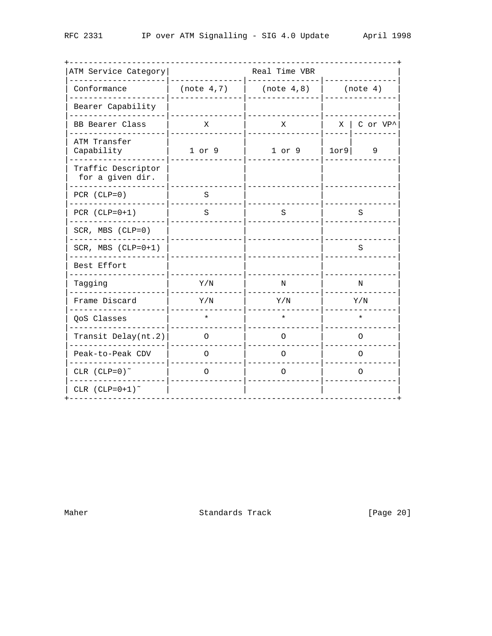| ATM Service Category                   |             | Real Time VBR |          |                               |  |  |  |
|----------------------------------------|-------------|---------------|----------|-------------------------------|--|--|--|
| Conformance                            | (note 4, 7) | (note 4,8)    | (note 4) |                               |  |  |  |
| Bearer Capability                      |             |               |          |                               |  |  |  |
| BB Bearer Class                        | Χ           | X             |          | $X \vert$ C or VP $^{\wedge}$ |  |  |  |
| ATM Transfer<br>Capability             | $1$ or $9$  | $1$ or $9$    | 10r9     | 9                             |  |  |  |
| Traffic Descriptor<br>for a given dir. |             |               |          |                               |  |  |  |
| PCR $(CLP=0)$                          | S           |               |          |                               |  |  |  |
| PCR $(CLP=0+1)$                        | S           | S             |          | S                             |  |  |  |
| SCR, MBS (CLP=0)                       |             |               |          |                               |  |  |  |
| SCR, MBS $(CLP=0+1)$                   |             |               |          | S                             |  |  |  |
| Best Effort                            |             |               |          |                               |  |  |  |
| Tagging                                | Y/N         | N             |          | N                             |  |  |  |
| Frame Discard                          | Y/N         | Y/N           |          | Y/N                           |  |  |  |
| QoS Classes                            | $\star$     | $\star$       |          | $\star$                       |  |  |  |
| Transit Delay(nt.2)                    | $\Omega$    | O             |          | $\Omega$                      |  |  |  |
| Peak-to-Peak CDV                       | 0           | O             |          | O                             |  |  |  |
| CLR $(CLP=0)^{\sim}$                   | O           | O             |          | $\Omega$                      |  |  |  |
| CLR $(CLP=0+1)^{\sim}$                 |             |               |          |                               |  |  |  |

Standards Track [Page 20]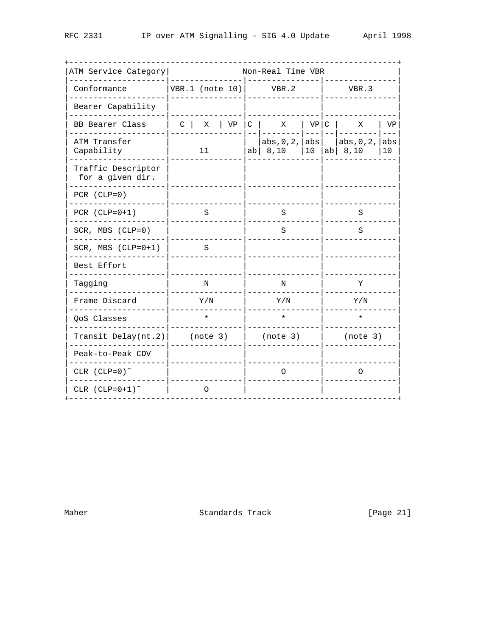| ATM Service Category                   |                            |         |    |                                         |         | Non-Real Time VBR                |                                             |              |
|----------------------------------------|----------------------------|---------|----|-----------------------------------------|---------|----------------------------------|---------------------------------------------|--------------|
| Conformance                            | VBR.1 (note $10$ )   VBR.2 |         |    |                                         |         |                                  | VBR.3                                       |              |
| Bearer Capability                      |                            |         |    |                                         |         |                                  |                                             |              |
| BB Bearer Class                        | $\mathbb{C}$               | Χ       | VP | $C \parallel X$                         |         | $ $ VP $ $ C                     | Χ                                           | VP           |
| ATM Transfer<br>Capability             |                            | 11      |    | $ab \begin{vmatrix} 8,10 \end{vmatrix}$ |         | abs, 0, 2,  abs <br>$ 10\rangle$ | abs, $0, 2$ , abs<br>ab $\vert 8, 10 \vert$ | $---$<br> 10 |
| Traffic Descriptor<br>for a given dir. |                            |         |    |                                         |         |                                  |                                             |              |
| PCR $(CLP=0)$                          |                            |         |    |                                         |         |                                  |                                             |              |
| PCR $(CLP=0+1)$                        |                            | S       |    |                                         | S       |                                  | S                                           |              |
| SCR, MBS (CLP=0)                       |                            |         |    |                                         | S       |                                  | S                                           |              |
| SCR, MBS $(CLP=0+1)$                   |                            | S       |    |                                         |         |                                  |                                             |              |
| Best Effort                            |                            |         |    |                                         |         |                                  |                                             |              |
| Tagging                                |                            | N       |    |                                         | N       |                                  | Υ                                           |              |
| Frame Discard                          |                            | Y/N     |    |                                         | Y/N     |                                  | Y/N                                         |              |
| QoS Classes                            |                            | $\star$ |    |                                         | $\star$ |                                  | $\star$                                     |              |
| Transit Delay( $nt.2$ )                | (note 3)                   |         |    | (note 3)                                |         |                                  | (note 3)                                    |              |
| Peak-to-Peak CDV                       |                            |         |    |                                         |         |                                  |                                             |              |
| CLR $(CLP=0)^{\sim}$                   |                            |         |    |                                         | O       |                                  | O                                           |              |
| CLR $(CLP=0+1)^{\sim}$                 |                            | 0       |    |                                         |         |                                  |                                             |              |

Standards Track

[Page 21]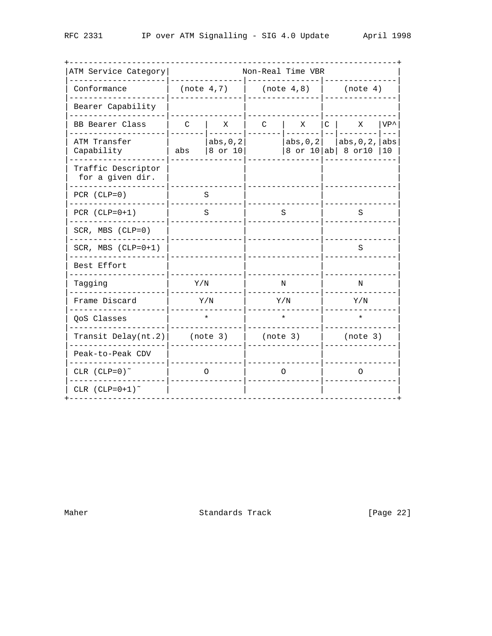| ATM Service Category                   |              |                      |              | Non-Real Time VBR |          |                                      |                          |  |
|----------------------------------------|--------------|----------------------|--------------|-------------------|----------|--------------------------------------|--------------------------|--|
| Conformance                            |              | (note 4, 7)          | (note 4,8)   |                   | (note 4) |                                      |                          |  |
| Bearer Capability                      |              |                      |              |                   |          |                                      |                          |  |
| BB Bearer Class                        | $\mathsf{C}$ | Χ                    | $\mathsf{C}$ | Χ                 | $C \mid$ | Χ                                    | VP <sup>^</sup><br>$---$ |  |
| ATM Transfer<br>Capability             | abs          | abs, 0, 2<br>8 or 10 |              | abs, $0, 2$       |          | abs, 0, 2,<br>8 or $10 ab 8$ or $10$ | abs<br>10                |  |
| Traffic Descriptor<br>for a given dir. |              |                      |              |                   |          |                                      |                          |  |
| PCR $(CLP=0)$                          |              | S                    |              |                   |          |                                      |                          |  |
| PCR $(CLP=0+1)$                        |              | S                    |              | S                 | S        |                                      |                          |  |
| SCR, MBS (CLP=0)                       |              |                      |              |                   |          |                                      |                          |  |
| SCR, MBS $(CLP=0+1)$                   |              |                      |              |                   | S        |                                      |                          |  |
| Best Effort                            |              |                      |              |                   |          |                                      |                          |  |
| Tagging                                | Y/N          |                      |              | N                 | N        |                                      |                          |  |
| Frame Discard                          |              | Y/N                  |              | Y/N               | Y/N      |                                      |                          |  |
| QoS Classes                            |              | $\star$              |              | $\star$           | $\star$  |                                      |                          |  |
| Transit Delay(nt.2)                    | (note 3)     |                      | (note 3)     |                   |          | (note 3)                             |                          |  |
| Peak-to-Peak CDV                       |              |                      |              |                   |          |                                      |                          |  |
| CLR $(CLP=0)^{\sim}$                   |              | 0                    |              | O                 |          | $\Omega$                             |                          |  |
| CLR $(CLP=0+1)^{\sim}$                 |              |                      |              |                   |          |                                      |                          |  |

Standards Track [Page 22]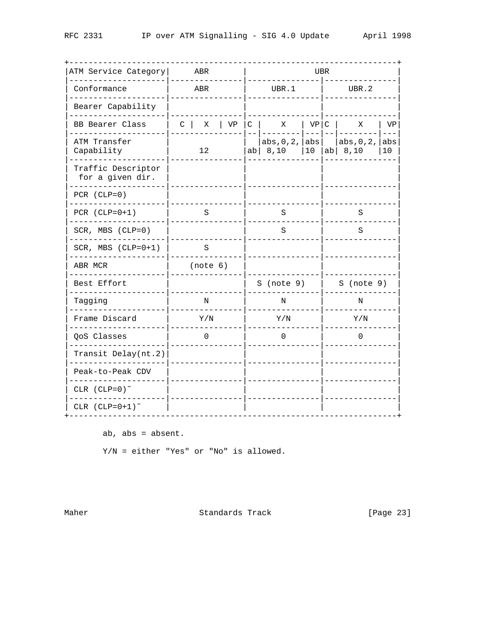| ATM Service Category                   |            | ABR             |    |              | UBR |                                         |              |                 |                                                      |                     |  |
|----------------------------------------|------------|-----------------|----|--------------|-----|-----------------------------------------|--------------|-----------------|------------------------------------------------------|---------------------|--|
| Conformance                            |            | ABR             |    |              |     | UBR.1                                   |              | UBR.2           |                                                      |                     |  |
| Bearer Capability                      |            |                 |    |              |     |                                         |              |                 |                                                      |                     |  |
| BB Bearer Class                        | $C \mid X$ |                 | VP | $\mathsf{C}$ |     | X<br><u> - -   - - - - - - - -</u>      | VP C         |                 | $\mathbf{X}$<br>  _ _ _   _ _   _ _ _ _ _ _ _ _      | VP<br>$\frac{1}{2}$ |  |
| ATM Transfer<br>Capability             |            | 12 <sub>2</sub> |    |              |     | $ab \begin{pmatrix} 8,10 \end{pmatrix}$ | $ 10\rangle$ |                 | abs, $0, 2$ , $ abs $ $ abs, 0, 2,  $<br>$ ab $ 8,10 | abs<br>10           |  |
| Traffic Descriptor<br>for a given dir. |            |                 |    |              |     |                                         |              |                 |                                                      |                     |  |
| $PCR (CLP=0)$                          |            |                 |    |              |     |                                         |              |                 |                                                      |                     |  |
| PCR $(CLP=0+1)$                        | S          |                 |    |              |     | S                                       |              | S               |                                                      |                     |  |
| SCR, MBS (CLP=0)                       |            |                 |    |              |     | S                                       |              | S               |                                                      |                     |  |
| SCR, MBS $(CLP=0+1)$                   |            | S               |    |              |     |                                         |              |                 |                                                      |                     |  |
| ABR MCR                                |            | (note 6)        |    |              |     |                                         |              |                 |                                                      |                     |  |
| Best Effort                            |            |                 |    |              |     | $S$ (note 9)                            |              |                 | S (note 9)                                           |                     |  |
| Tagging                                |            | N               |    |              |     | N                                       |              | Ν               |                                                      |                     |  |
| Frame Discard                          |            | Y/N             |    |              |     | Y/N                                     |              | $X \setminus N$ |                                                      |                     |  |
| QoS Classes                            |            | $\mathbf 0$     |    |              |     | 0                                       |              |                 | 0                                                    |                     |  |
| Transit Delay(nt.2)                    |            |                 |    |              |     |                                         |              |                 |                                                      |                     |  |
| Peak-to-Peak CDV                       |            |                 |    |              |     |                                         |              |                 |                                                      |                     |  |
| CLR $(CLP=0)^{\sim}$                   |            |                 |    |              |     |                                         |              |                 |                                                      |                     |  |
| CLR $(CLP=0+1)^{\sim}$                 |            |                 |    |              |     |                                         |              |                 |                                                      |                     |  |

ab, abs = absent.

 $Y/N$  = either "Yes" or "No" is allowed.

Maher

Standards Track

[Page 23]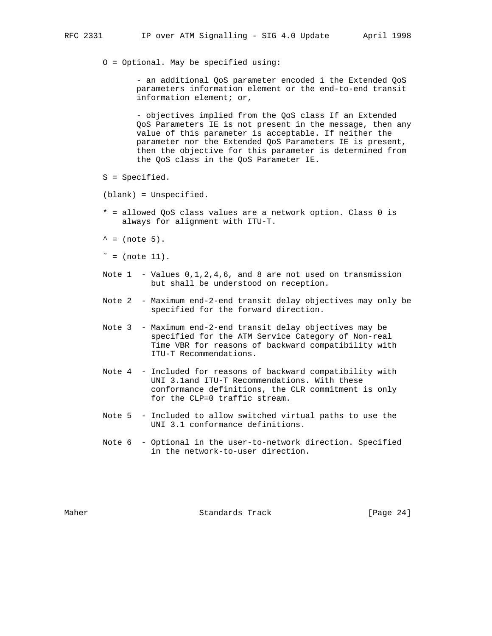O = Optional. May be specified using:

 - an additional QoS parameter encoded i the Extended QoS parameters information element or the end-to-end transit information element; or,

 - objectives implied from the QoS class If an Extended QoS Parameters IE is not present in the message, then any value of this parameter is acceptable. If neither the parameter nor the Extended QoS Parameters IE is present, then the objective for this parameter is determined from the QoS class in the QoS Parameter IE.

S = Specified.

(blank) = Unspecified.

- \* = allowed QoS class values are a network option. Class 0 is always for alignment with ITU-T.
- $^{\wedge}$  = (note 5).
- $\tilde{=}$  = (note 11).
- Note 1 Values 0,1,2,4,6, and 8 are not used on transmission but shall be understood on reception.
- Note 2 Maximum end-2-end transit delay objectives may only be specified for the forward direction.
- Note 3 Maximum end-2-end transit delay objectives may be specified for the ATM Service Category of Non-real Time VBR for reasons of backward compatibility with ITU-T Recommendations.
- Note 4 Included for reasons of backward compatibility with UNI 3.1and ITU-T Recommendations. With these conformance definitions, the CLR commitment is only for the CLP=0 traffic stream.
- Note 5 Included to allow switched virtual paths to use the UNI 3.1 conformance definitions.
- Note 6 Optional in the user-to-network direction. Specified in the network-to-user direction.

Maher **Standards Track** [Page 24]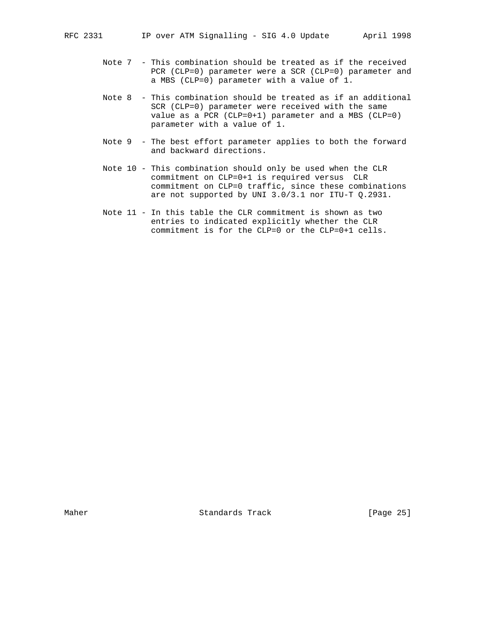- Note 7 This combination should be treated as if the received PCR (CLP=0) parameter were a SCR (CLP=0) parameter and a MBS (CLP=0) parameter with a value of 1.
- Note 8 This combination should be treated as if an additional SCR (CLP=0) parameter were received with the same value as a PCR (CLP=0+1) parameter and a MBS (CLP=0) parameter with a value of 1.
- Note 9 The best effort parameter applies to both the forward and backward directions.
- Note 10 This combination should only be used when the CLR commitment on CLP=0+1 is required versus CLR commitment on CLP=0 traffic, since these combinations are not supported by UNI 3.0/3.1 nor ITU-T Q.2931.
- Note 11 In this table the CLR commitment is shown as two entries to indicated explicitly whether the CLR commitment is for the CLP=0 or the CLP=0+1 cells.

Maher Standards Track [Page 25]